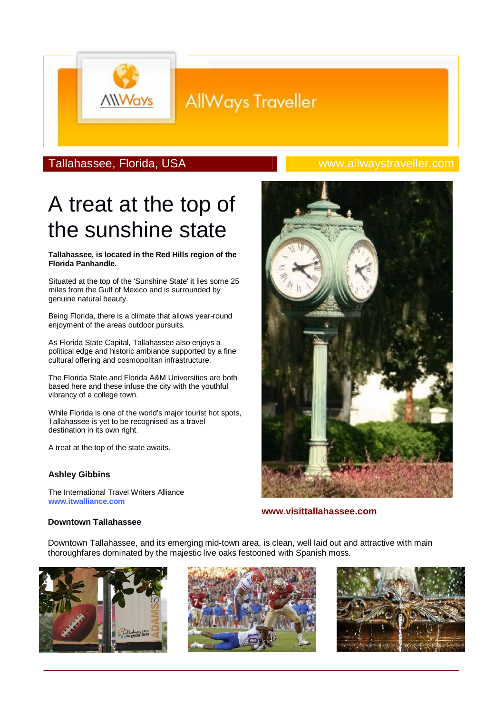# **AllWays Traveller**

### Tallahassee, Florida, USA www.allwaystraveller.com

# A treat at the top of the sunshine state

#### **Tallahassee, is located in the Red Hills region of the Florida Panhandle.**

Situated at the top of the 'Sunshine State' it lies some 25 miles from the Gulf of Mexico and is surrounded by genuine natural beauty.

Being Florida, there is a climate that allows year-round enjoyment of the areas outdoor pursuits.

As Florida State Capital, Tallahassee also enjoys a political edge and historic ambiance supported by a fine cultural offering and cosmopolitan infrastructure.

The Florida State and Florida A&M Universities are both based here and these infuse the city with the youthful vibrancy of a college town.

While Florida is one of the world's major tourist hot spots, Tallahassee is yet to be recognised as a travel destination in its own right.

A treat at the top of the state awaits.

#### **Ashley Gibbins**

The International Travel Writers Alliance **www.itwalliance.com**

**www.visittallahassee.com**

### **Downtown Tallahassee**

Downtown Tallahassee, and its emerging mid-town area, is clean, well laid out and attractive with main thoroughfares dominated by the majestic live oaks festooned with Spanish moss.





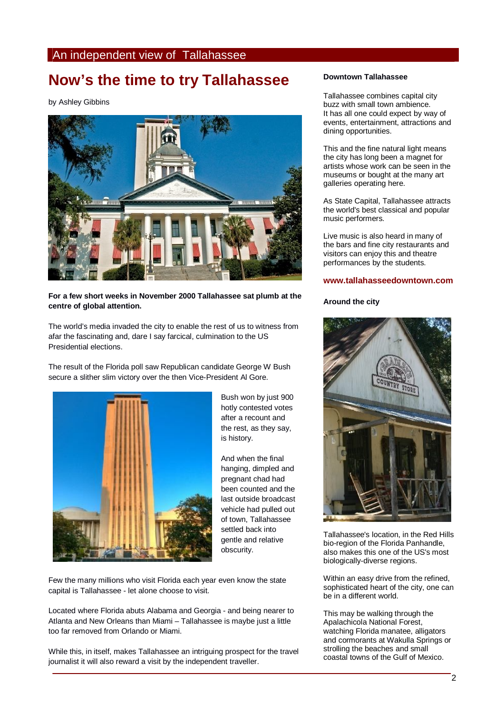### An independent view of Tallahassee

## **Now's the time to try Tallahassee**

by Ashley Gibbins



#### **For a few short weeks in November 2000 Tallahassee sat plumb at the centre of global attention.**

The world's media invaded the city to enable the rest of us to witness from afar the fascinating and, dare I say farcical, culmination to the US Presidential elections.

The result of the Florida poll saw Republican candidate George W Bush secure a slither slim victory over the then Vice-President Al Gore.



Bush won by just 900 hotly contested votes after a recount and the rest, as they say, is history.

And when the final hanging, dimpled and pregnant chad had been counted and the last outside broadcast vehicle had pulled out of town, Tallahassee settled back into gentle and relative obscurity.

Few the many millions who visit Florida each year even know the state capital is Tallahassee - let alone choose to visit.

Located where Florida abuts Alabama and Georgia - and being nearer to Atlanta and New Orleans than Miami – Tallahassee is maybe just a little too far removed from Orlando or Miami.

While this, in itself, makes Tallahassee an intriguing prospect for the travel journalist it will also reward a visit by the independent traveller.

#### **Downtown Tallahassee**

Tallahassee combines capital city buzz with small town ambience. It has all one could expect by way of events, entertainment, attractions and dining opportunities.

This and the fine natural light means the city has long been a magnet for artists whose work can be seen in the museums or bought at the many art galleries operating here.

As State Capital, Tallahassee attracts the world's best classical and popular music performers.

Live music is also heard in many of the bars and fine city restaurants and visitors can enjoy this and theatre performances by the students.

#### **www.tallahasseedowntown.com**

#### **Around the city**



Tallahassee's location, in the Red Hills bio-region of the Florida Panhandle, also makes this one of the US's most biologically-diverse regions.

Within an easy drive from the refined, sophisticated heart of the city, one can be in a different world.

This may be walking through the Apalachicola National Forest, watching Florida manatee, alligators and cormorants at Wakulla Springs or strolling the beaches and small coastal towns of the Gulf of Mexico.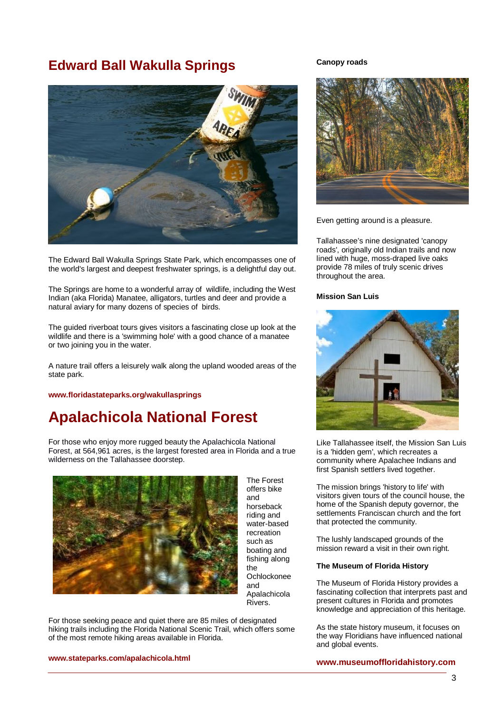### **Edward Ball Wakulla Springs**



The Edward Ball Wakulla Springs State Park, which encompasses one of the world's largest and deepest freshwater springs, is a delightful day out.

The Springs are home to a wonderful array of wildlife, including the West Indian (aka Florida) Manatee, alligators, turtles and deer and provide a natural aviary for many dozens of species of birds.

The guided riverboat tours gives visitors a fascinating close up look at the wildlife and there is a 'swimming hole' with a good chance of a manatee or two joining you in the water.

A nature trail offers a leisurely walk along the upland wooded areas of the state park.

**www.floridastateparks.org/wakullasprings**

## **Apalachicola National Forest**

For those who enjoy more rugged beauty the Apalachicola National Forest, at 564,961 acres, is the largest forested area in Florida and a true wilderness on the Tallahassee doorstep.



The Forest offers bike and horseback riding and water-based recreation such as boating and fishing along the Ochlockonee and Apalachicola Rivers.

For those seeking peace and quiet there are 85 miles of designated hiking trails including the Florida National Scenic Trail, which offers some of the most remote hiking areas available in Florida.

**www.stateparks.com/apalachicola.html**

#### **Canopy roads**



Even getting around is a pleasure.

Tallahassee's nine designated 'canopy roads', originally old Indian trails and now lined with huge, moss-draped live oaks provide 78 miles of truly scenic drives throughout the area.

#### **Mission San Luis**



Like Tallahassee itself, the Mission San Luis is a 'hidden gem', which recreates a community where Apalachee Indians and first Spanish settlers lived together.

The mission brings 'history to life' with visitors given tours of the council house, the home of the Spanish deputy governor, the settlements Franciscan church and the fort that protected the community.

The lushly landscaped grounds of the mission reward a visit in their own right.

#### **The Museum of Florida History**

The Museum of Florida History provides a fascinating collection that interprets past and present cultures in Florida and promotes knowledge and appreciation of this heritage.

As the state history museum, it focuses on the way Floridians have influenced national and global events.

**www.museumoffloridahistory.com**